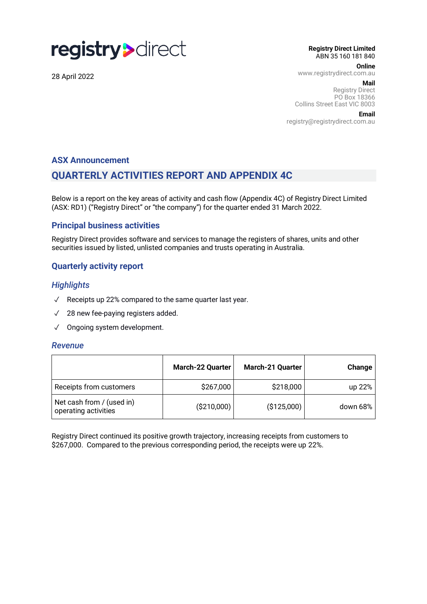

28 April 2022

**Registry Direct Limited** ABN 35 160 181 840

**Online**

www.registrydirect.com.au

 **Mail**

Registry Direct PO Box 18366 Collins Street East VIC 8003

**Email**

registry@registrydirect.com.au

#### **ASX Announcement**

# **QUARTERLY ACTIVITIES REPORT AND APPENDIX 4C**

Below is a report on the key areas of activity and cash flow (Appendix 4C) of Registry Direct Limited (ASX: RD1) ("Registry Direct" or "the company") for the quarter ended 31 March 2022.

### **Principal business activities**

Registry Direct provides software and services to manage the registers of shares, units and other securities issued by listed, unlisted companies and trusts operating in Australia.

# **Quarterly activity report**

### *Highlights*

- ✓ Receipts up 22% compared to the same quarter last year.
- ✓ 28 new fee-paying registers added.
- ✓ Ongoing system development.

#### *Revenue*

|                                                   | March-22 Quarter | <b>March-21 Quarter</b> | Change       |
|---------------------------------------------------|------------------|-------------------------|--------------|
| Receipts from customers                           | \$267,000        | \$218,000               | up 22%       |
| Net cash from / (used in)<br>operating activities | ( \$210,000)     | (\$125,000)             | down 68% $ $ |

Registry Direct continued its positive growth trajectory, increasing receipts from customers to \$267,000. Compared to the previous corresponding period, the receipts were up 22%.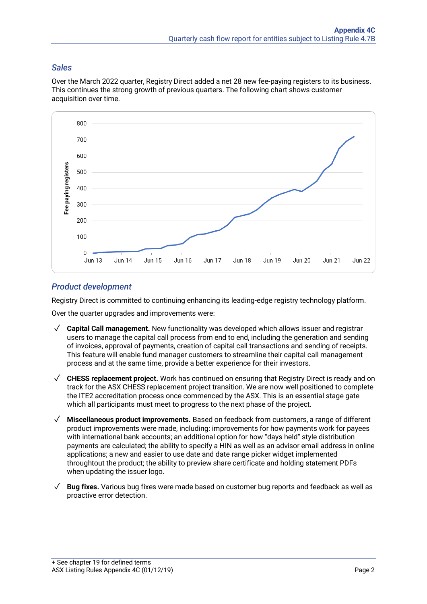# *Sales*

Over the March 2022 quarter, Registry Direct added a net 28 new fee-paying registers to its business. This continues the strong growth of previous quarters. The following chart shows customer acquisition over time.



# *Product development*

Registry Direct is committed to continuing enhancing its leading-edge registry technology platform.

Over the quarter upgrades and improvements were:

- ✓ **Capital Call management.** New functionality was developed which allows issuer and registrar users to manage the capital call process from end to end, including the generation and sending of invoices, approval of payments, creation of capital call transactions and sending of receipts. This feature will enable fund manager customers to streamline their capital call management process and at the same time, provide a better experience for their investors.
- ✓ **CHESS replacement project.** Work has continued on ensuring that Registry Direct is ready and on track for the ASX CHESS replacement project transition. We are now well positioned to complete the ITE2 accreditation process once commenced by the ASX. This is an essential stage gate which all participants must meet to progress to the next phase of the project.
- ✓ **Miscellaneous product improvements.** Based on feedback from customers, a range of different product improvements were made, including: improvements for how payments work for payees with international bank accounts; an additional option for how "days held" style distribution payments are calculated; the ability to specify a HIN as well as an advisor email address in online applications; a new and easier to use date and date range picker widget implemented throughtout the product; the ability to preview share certificate and holding statement PDFs when updating the issuer logo.
- ✓ **Bug fixes.** Various bug fixes were made based on customer bug reports and feedback as well as proactive error detection.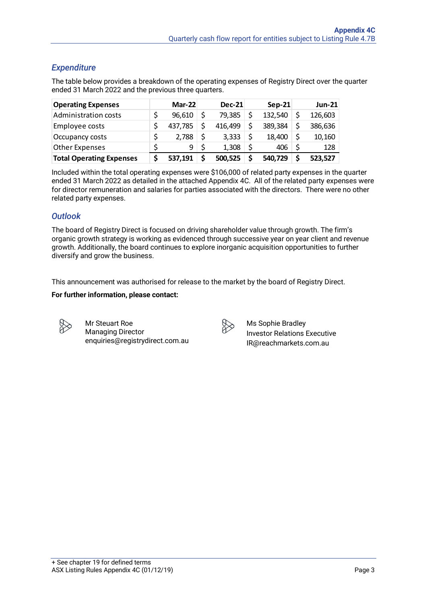# *Expenditure*

The table below provides a breakdown of the operating expenses of Registry Direct over the quarter ended 31 March 2022 and the previous three quarters.

| <b>Operating Expenses</b>       | $Mar-22$ | <b>Dec-21</b> | $Sep-21$ |    | <b>Jun-21</b> |
|---------------------------------|----------|---------------|----------|----|---------------|
| <b>Administration costs</b>     | 96,610   | 79,385        | 132,540  |    | 126,603       |
| Employee costs                  | 437,785  | 416,499       | 389,384  |    | 386,636       |
| Occupancy costs                 | 2,788    | 3,333         | 18,400   | \$ | 10,160        |
| <b>Other Expenses</b>           | 9        | 1,308         | 406      | \$ | 128           |
| <b>Total Operating Expenses</b> | 537,191  | 500,525       | 540,729  | Ś  | 523,527       |

Included within the total operating expenses were \$106,000 of related party expenses in the quarter ended 31 March 2022 as detailed in the attached Appendix 4C. All of the related party expenses were for director remuneration and salaries for parties associated with the directors. There were no other related party expenses.

# *Outlook*

The board of Registry Direct is focused on driving shareholder value through growth. The firm's organic growth strategy is working as evidenced through successive year on year client and revenue growth. Additionally, the board continues to explore inorganic acquisition opportunities to further diversify and grow the business.

This announcement was authorised for release to the market by the board of Registry Direct.

#### **For further information, please contact:**

Mr Steuart Roe Managing Director enquiries@registrydirect.com.au

Ms Sophie Bradley Investor Relations Executive IR@reachmarkets.com.au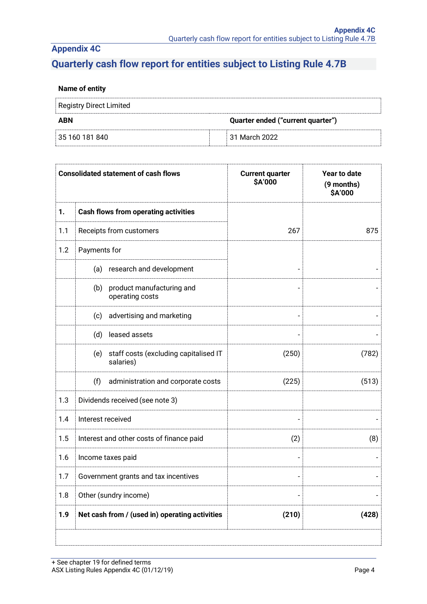# **Quarterly cash flow report for entities subject to Listing Rule 4.7B**

### **Name of entity**

| Registry Direct Limited |                                   |
|-------------------------|-----------------------------------|
| <b>ABN</b>              | Quarter ended ("current quarter") |
| 35 160 181 840          | ⊟31 March 2022.                   |

|     | <b>Consolidated statement of cash flows</b>               | <b>Current quarter</b><br>\$A'000 | Year to date<br>(9 months)<br>\$A'000 |
|-----|-----------------------------------------------------------|-----------------------------------|---------------------------------------|
| 1.  | <b>Cash flows from operating activities</b>               |                                   |                                       |
| 1.1 | Receipts from customers                                   | 267                               | 875                                   |
| 1.2 | Payments for                                              |                                   |                                       |
|     | research and development<br>(a)                           |                                   |                                       |
|     | (b) product manufacturing and<br>operating costs          |                                   |                                       |
|     | advertising and marketing<br>(c)                          |                                   |                                       |
|     | (d)<br>leased assets                                      |                                   |                                       |
|     | staff costs (excluding capitalised IT<br>(e)<br>salaries) | (250)                             | (782)                                 |
|     | (f)<br>administration and corporate costs                 | (225)                             | (513)                                 |
| 1.3 | Dividends received (see note 3)                           |                                   |                                       |
| 1.4 | Interest received                                         |                                   |                                       |
| 1.5 | Interest and other costs of finance paid                  | (2)                               | (8)                                   |
| 1.6 | Income taxes paid                                         |                                   |                                       |
| 1.7 | Government grants and tax incentives                      |                                   |                                       |
| 1.8 | Other (sundry income)                                     |                                   |                                       |
| 1.9 | Net cash from / (used in) operating activities            | (210)                             | (428)                                 |
|     |                                                           |                                   |                                       |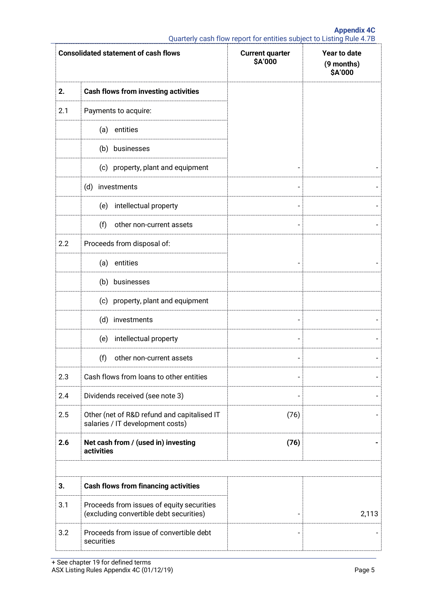|     | <b>Consolidated statement of cash flows</b>                                          | <b>Current quarter</b><br>\$A'000 | Year to date<br>(9 months)<br>\$A'000 |
|-----|--------------------------------------------------------------------------------------|-----------------------------------|---------------------------------------|
| 2.  | <b>Cash flows from investing activities</b>                                          |                                   |                                       |
| 2.1 | Payments to acquire:                                                                 |                                   |                                       |
|     | entities<br>(a)                                                                      |                                   |                                       |
|     | (b) businesses                                                                       |                                   |                                       |
|     | (c) property, plant and equipment                                                    |                                   |                                       |
|     | (d)<br>investments                                                                   | $\overline{\phantom{0}}$          |                                       |
|     | intellectual property<br>(e)                                                         |                                   |                                       |
|     | (f)<br>other non-current assets                                                      |                                   |                                       |
| 2.2 | Proceeds from disposal of:                                                           |                                   |                                       |
|     | entities<br>(a)                                                                      |                                   |                                       |
|     | (b) businesses                                                                       |                                   |                                       |
|     | (c) property, plant and equipment                                                    |                                   |                                       |
|     | (d) investments                                                                      | $\overline{\phantom{0}}$          |                                       |
|     | intellectual property<br>(e)                                                         |                                   |                                       |
|     | (f)<br>other non-current assets                                                      | $\overline{a}$                    |                                       |
| 2.3 | Cash flows from loans to other entities                                              | $\overline{a}$                    |                                       |
| 2.4 | Dividends received (see note 3)                                                      |                                   |                                       |
| 2.5 | Other (net of R&D refund and capitalised IT<br>salaries / IT development costs)      | (76)                              |                                       |
| 2.6 | Net cash from / (used in) investing<br>activities                                    | (76)                              |                                       |
|     |                                                                                      |                                   |                                       |
| 3.  | <b>Cash flows from financing activities</b>                                          |                                   |                                       |
| 3.1 | Proceeds from issues of equity securities<br>(excluding convertible debt securities) |                                   | 2,113                                 |
| 3.2 | Proceeds from issue of convertible debt<br>securities                                |                                   |                                       |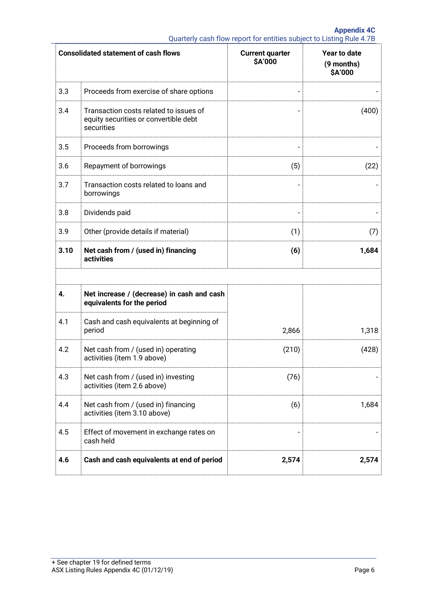| <b>Consolidated statement of cash flows</b> |                                                                                               | <b>Current quarter</b><br>\$A'000 | Year to date<br>(9 months)<br>\$A'000 |
|---------------------------------------------|-----------------------------------------------------------------------------------------------|-----------------------------------|---------------------------------------|
| 3.3                                         | Proceeds from exercise of share options                                                       |                                   |                                       |
| 3.4                                         | Transaction costs related to issues of<br>equity securities or convertible debt<br>securities |                                   | (400)                                 |
| 3.5                                         | Proceeds from borrowings                                                                      |                                   |                                       |
| 3.6                                         | Repayment of borrowings                                                                       | (5)                               | (22)                                  |
| 3.7                                         | Transaction costs related to loans and<br>borrowings                                          |                                   |                                       |
| 3.8                                         | Dividends paid                                                                                |                                   |                                       |
| 3.9                                         | Other (provide details if material)                                                           | (1)                               | (7)                                   |
| 3.10                                        | Net cash from / (used in) financing<br>activities                                             | (6)                               | 1,684                                 |
| 4.                                          | Net increase / (decrease) in cash and cash<br>equivalents for the period                      |                                   |                                       |
| 4.1                                         | Cash and cash equivalents at beginning of<br>period                                           | 2,866                             | 1,318                                 |
| 4.2                                         | Net cash from / (used in) operating<br>activities (item 1.9 above)                            | (210)                             | (428)                                 |
| 4.3                                         | Net cash from / (used in) investing<br>activities (item 2.6 above)                            | (76)                              |                                       |
| 4.4                                         | Net cash from / (used in) financing<br>activities (item 3.10 above)                           | (6)                               | 1,684                                 |
| 4.5                                         | Effect of movement in exchange rates on<br>cash held                                          |                                   |                                       |
| 4.6                                         | Cash and cash equivalents at end of period                                                    | 2,574                             | 2,574                                 |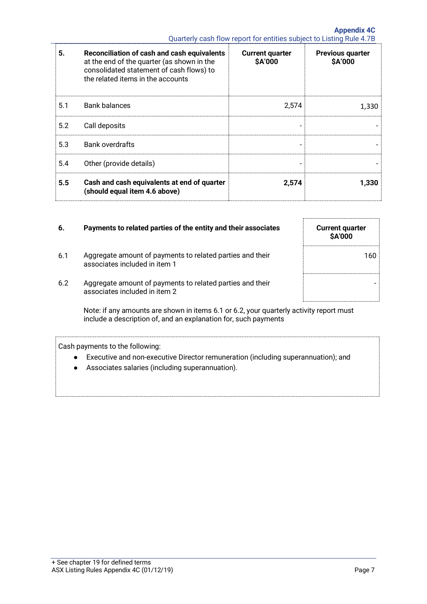|     |                                                                                                                                                                            | Quarterly cash flow report for entities subject to Listing Rule 4.7B |                                    |
|-----|----------------------------------------------------------------------------------------------------------------------------------------------------------------------------|----------------------------------------------------------------------|------------------------------------|
| 5.  | Reconciliation of cash and cash equivalents<br>at the end of the quarter (as shown in the<br>consolidated statement of cash flows) to<br>the related items in the accounts | <b>Current quarter</b><br>\$A'000                                    | <b>Previous quarter</b><br>\$A'000 |
| 5.1 | <b>Bank balances</b>                                                                                                                                                       | 2,574                                                                | 1,330                              |
| 5.2 | Call deposits                                                                                                                                                              |                                                                      |                                    |
| 5.3 | <b>Bank overdrafts</b>                                                                                                                                                     |                                                                      |                                    |
| 5.4 | Other (provide details)                                                                                                                                                    |                                                                      |                                    |
| 5.5 | Cash and cash equivalents at end of quarter<br>(should equal item 4.6 above)                                                                                               | 2,574                                                                | 1,330                              |

| 6.  | Payments to related parties of the entity and their associates                                                                                             | <b>Current quarter</b><br><b>\$A'000</b> |
|-----|------------------------------------------------------------------------------------------------------------------------------------------------------------|------------------------------------------|
| 6.1 | Aggregate amount of payments to related parties and their<br>associates included in item 1                                                                 | 160                                      |
| 6.2 | Aggregate amount of payments to related parties and their<br>associates included in item 2                                                                 |                                          |
|     | Note: if any amounts are shown in items 6.1 or 6.2, your quarterly activity report must<br>include a description of, and an explanation for, such payments |                                          |
|     | Cash payments to the following:<br>Executive and non-executive Director remuneration (including superannuation); and                                       |                                          |

● Associates salaries (including superannuation).

 $\overline{a}$ 

**Appendix 4C**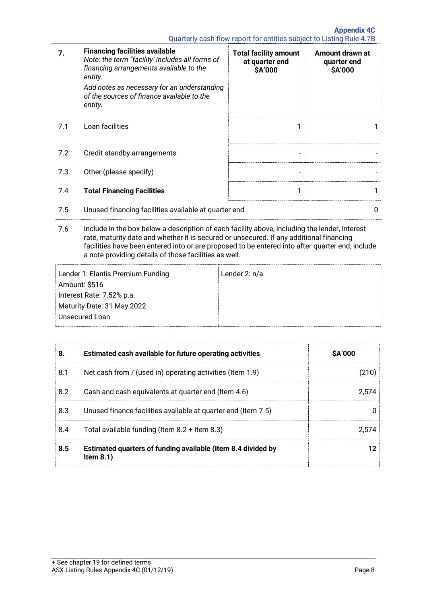Quarterly cash flow report for entities subject to Listing Rule 4.7B

| 7.  | <b>Financing facilities available</b><br>Note: the term "facility' includes all forms of<br>financing arrangements available to the<br>entity.<br>Add notes as necessary for an understanding<br>of the sources of finance available to the<br>entity. | <b>Total facility amount</b><br>at quarter end<br>\$A'000 | Amount drawn at<br>quarter end<br>\$A'000 |
|-----|--------------------------------------------------------------------------------------------------------------------------------------------------------------------------------------------------------------------------------------------------------|-----------------------------------------------------------|-------------------------------------------|
| 7.1 | Loan facilities                                                                                                                                                                                                                                        |                                                           |                                           |
| 7.2 | Credit standby arrangements                                                                                                                                                                                                                            |                                                           |                                           |
| 7.3 | Other (please specify)                                                                                                                                                                                                                                 |                                                           |                                           |
| 7.4 | <b>Total Financing Facilities</b>                                                                                                                                                                                                                      | 1                                                         |                                           |
| 7.5 | Unused financing facilities available at quarter end                                                                                                                                                                                                   |                                                           | 0                                         |

7.6 Include in the box below a description of each facility above, including the lender, interest rate, maturity date and whether it is secured or unsecured. If any additional financing facilities have been entered into or are proposed to be entered into after quarter end, include a note providing details of those facilities as well.

| Lender 1: Elantis Premium Funding | Lender 2: $n/a$ |
|-----------------------------------|-----------------|
| Amount: \$516                     |                 |
| Interest Rate: 7.52% p.a.         |                 |
| Maturity Date: 31 May 2022        |                 |
| Unsecured Loan                    |                 |
|                                   |                 |

| 8.  | Estimated cash available for future operating activities                     | \$A'000 |
|-----|------------------------------------------------------------------------------|---------|
| 8.1 | Net cash from / (used in) operating activities (Item 1.9)                    | (210)   |
| 8.2 | Cash and cash equivalents at quarter end (Item 4.6)                          | 2.574   |
| 8.3 | Unused finance facilities available at quarter end (Item 7.5)                |         |
| 8.4 | Total available funding (Item $8.2 +$ Item $8.3$ )                           | 2.574   |
| 8.5 | Estimated quarters of funding available (Item 8.4 divided by<br>Item $8.1$ ) |         |